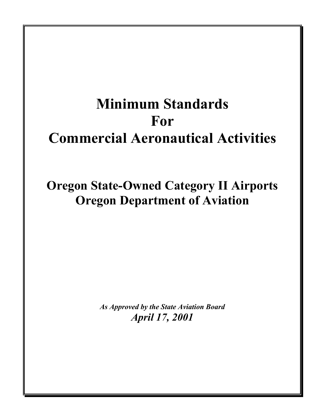# **Minimum Standards For Commercial Aeronautical Activities**

# **Oregon State-Owned Category II Airports Oregon Department of Aviation**

*As Approved by the State Aviation Board April 17, 2001*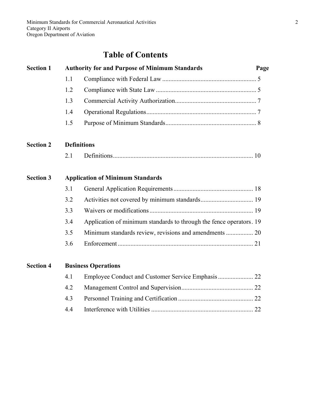# **Table of Contents**

# **Section 1 Authority for and Purpose of Minimum Standards Page**  1.1 Compliance with Federal Law ........................................................... 5 1.2 Compliance with State Law ............................................................... 5 1.3 Commercial Activity Authorization................................................... 7 1.4 Operational Regulations..................................................................... 7 1.5 Purpose of Minimum Standards......................................................... 8 **Section 2 Definitions**  2.1 Definitions........................................................................................ 10 **Section 3 Application of Minimum Standards**  3.1 General Application Requirements.................................................. 18 3.2 Activities not covered by minimum standards................................. 19 3.3 Waivers or modifications ................................................................. 19 3.4 Application of minimum standards to through the fence operators. 19 3.5 Minimum standards review, revisions and amendments ................. 20 3.6 Enforcement ..................................................................................... 21 **Section 4 Business Operations**  4.1 Employee Conduct and Customer Service Emphasis ...................... 22 4.2 Management Control and Supervision............................................. 22 4.3 Personnel Training and Certification ............................................... 22

4.4 Interference with Utilities ................................................................ 22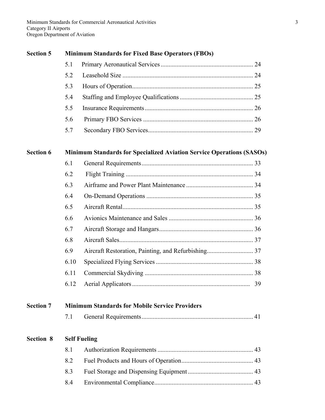| <b>Section 5</b> | <b>Minimum Standards for Fixed Base Operators (FBOs)</b> |                                                                              |    |  |
|------------------|----------------------------------------------------------|------------------------------------------------------------------------------|----|--|
|                  | 5.1                                                      |                                                                              |    |  |
|                  | 5.2                                                      |                                                                              |    |  |
|                  | 5.3                                                      |                                                                              |    |  |
|                  | 5.4                                                      |                                                                              |    |  |
|                  | 5.5                                                      |                                                                              |    |  |
|                  | 5.6                                                      |                                                                              |    |  |
|                  | 5.7                                                      |                                                                              |    |  |
| <b>Section 6</b> |                                                          | <b>Minimum Standards for Specialized Aviation Service Operations (SASOs)</b> |    |  |
|                  | 6.1                                                      |                                                                              |    |  |
|                  | 6.2                                                      |                                                                              |    |  |
|                  | 6.3                                                      |                                                                              |    |  |
|                  | 6.4                                                      |                                                                              |    |  |
|                  | 6.5                                                      |                                                                              |    |  |
|                  | 6.6                                                      |                                                                              |    |  |
|                  | 6.7                                                      |                                                                              |    |  |
|                  | 6.8                                                      |                                                                              |    |  |
|                  | 6.9                                                      |                                                                              |    |  |
|                  | 6.10                                                     |                                                                              |    |  |
|                  | 6.11                                                     |                                                                              |    |  |
|                  | 6.12                                                     |                                                                              | 39 |  |
| <b>Section 7</b> |                                                          | <b>Minimum Standards for Mobile Service Providers</b>                        |    |  |
|                  | 7.1                                                      |                                                                              |    |  |
| <b>Section 8</b> | <b>Self Fueling</b>                                      |                                                                              |    |  |
|                  | 8.1                                                      |                                                                              |    |  |
|                  | 8.2                                                      |                                                                              |    |  |
|                  | 8.3                                                      |                                                                              |    |  |
|                  | 8.4                                                      |                                                                              |    |  |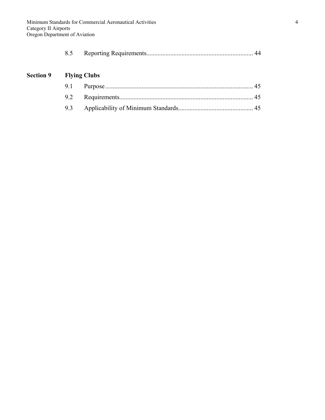|--|--|--|

# **Section 9 Flying Clubs**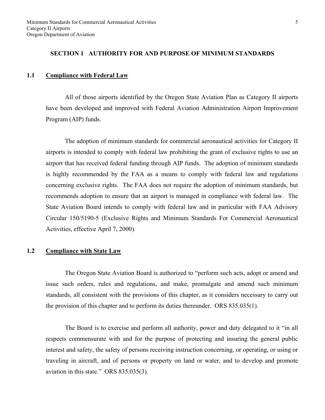#### **SECTION 1 AUTHORITY FOR AND PURPOSE OF MINIMUM STANDARDS**

#### **1.1 Compliance with Federal Law**

 All of those airports identified by the Oregon State Aviation Plan as Category II airports have been developed and improved with Federal Aviation Administration Airport Improvement Program (AIP) funds.

 The adoption of minimum standards for commercial aeronautical activities for Category II airports is intended to comply with federal law prohibiting the grant of exclusive rights to use an airport that has received federal funding through AIP funds. The adoption of minimum standards is highly recommended by the FAA as a means to comply with federal law and regulations concerning exclusive rights. The FAA does not require the adoption of minimum standards, but recommends adoption to ensure that an airport is managed in compliance with federal law. The State Aviation Board intends to comply with federal law and in particular with FAA Advisory Circular 150/5190-5 (Exclusive Rights and Minimum Standards For Commercial Aeronautical Activities, effective April 7, 2000).

#### **1.2 Compliance with State Law**

 The Oregon State Aviation Board is authorized to "perform such acts, adopt or amend and issue such orders, rules and regulations, and make, promulgate and amend such minimum standards, all consistent with the provisions of this chapter, as it considers necessary to carry out the provision of this chapter and to perform its duties thereunder. ORS 835.035(1).

 The Board is to exercise and perform all authority, power and duty delegated to it "in all respects commensurate with and for the purpose of protecting and insuring the general public interest and safety, the safety of persons receiving instruction concerning, or operating, or using or traveling in aircraft, and of persons or property on land or water, and to develop and promote aviation in this state." ORS 835.035(3).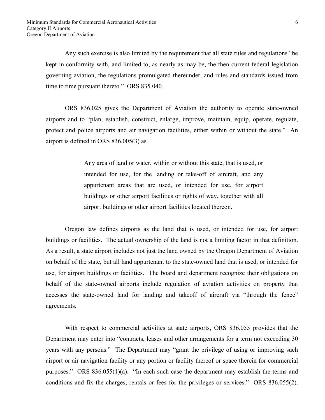Any such exercise is also limited by the requirement that all state rules and regulations "be kept in conformity with, and limited to, as nearly as may be, the then current federal legislation governing aviation, the regulations promulgated thereunder, and rules and standards issued from time to time pursuant thereto." ORS 835.040.

 ORS 836.025 gives the Department of Aviation the authority to operate state-owned airports and to "plan, establish, construct, enlarge, improve, maintain, equip, operate, regulate, protect and police airports and air navigation facilities, either within or without the state." An airport is defined in ORS 836.005(3) as

> Any area of land or water, within or without this state, that is used, or intended for use, for the landing or take-off of aircraft, and any appurtenant areas that are used, or intended for use, for airport buildings or other airport facilities or rights of way, together with all airport buildings or other airport facilities located thereon.

 Oregon law defines airports as the land that is used, or intended for use, for airport buildings or facilities. The actual ownership of the land is not a limiting factor in that definition. As a result, a state airport includes not just the land owned by the Oregon Department of Aviation on behalf of the state, but all land appurtenant to the state-owned land that is used, or intended for use, for airport buildings or facilities. The board and department recognize their obligations on behalf of the state-owned airports include regulation of aviation activities on property that accesses the state-owned land for landing and takeoff of aircraft via "through the fence" agreements.

 With respect to commercial activities at state airports, ORS 836.055 provides that the Department may enter into "contracts, leases and other arrangements for a term not exceeding 30 years with any persons." The Department may "grant the privilege of using or improving such airport or air navigation facility or any portion or facility thereof or space therein for commercial purposes." ORS 836.055(1)(a). "In each such case the department may establish the terms and conditions and fix the charges, rentals or fees for the privileges or services." ORS 836.055(2).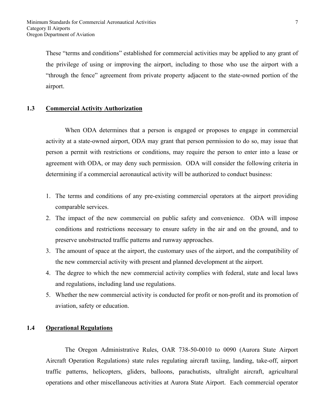These "terms and conditions" established for commercial activities may be applied to any grant of the privilege of using or improving the airport, including to those who use the airport with a "through the fence" agreement from private property adjacent to the state-owned portion of the airport.

## **1.3 Commercial Activity Authorization**

 When ODA determines that a person is engaged or proposes to engage in commercial activity at a state-owned airport, ODA may grant that person permission to do so, may issue that person a permit with restrictions or conditions, may require the person to enter into a lease or agreement with ODA, or may deny such permission. ODA will consider the following criteria in determining if a commercial aeronautical activity will be authorized to conduct business:

- 1. The terms and conditions of any pre-existing commercial operators at the airport providing comparable services.
- 2. The impact of the new commercial on public safety and convenience. ODA will impose conditions and restrictions necessary to ensure safety in the air and on the ground, and to preserve unobstructed traffic patterns and runway approaches.
- 3. The amount of space at the airport, the customary uses of the airport, and the compatibility of the new commercial activity with present and planned development at the airport.
- 4. The degree to which the new commercial activity complies with federal, state and local laws and regulations, including land use regulations.
- 5. Whether the new commercial activity is conducted for profit or non-profit and its promotion of aviation, safety or education.

# **1.4 Operational Regulations**

 The Oregon Administrative Rules, OAR 738-50-0010 to 0090 (Aurora State Airport Aircraft Operation Regulations) state rules regulating aircraft taxiing, landing, take-off, airport traffic patterns, helicopters, gliders, balloons, parachutists, ultralight aircraft, agricultural operations and other miscellaneous activities at Aurora State Airport. Each commercial operator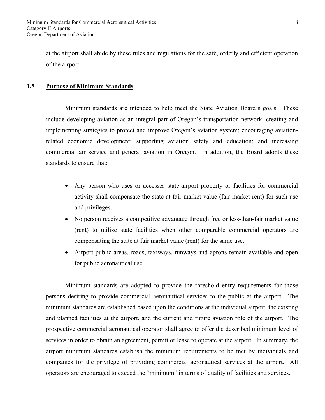at the airport shall abide by these rules and regulations for the safe, orderly and efficient operation of the airport.

#### **1.5 Purpose of Minimum Standards**

 Minimum standards are intended to help meet the State Aviation Board's goals. These include developing aviation as an integral part of Oregon's transportation network; creating and implementing strategies to protect and improve Oregon's aviation system; encouraging aviationrelated economic development; supporting aviation safety and education; and increasing commercial air service and general aviation in Oregon. In addition, the Board adopts these standards to ensure that:

- Any person who uses or accesses state-airport property or facilities for commercial activity shall compensate the state at fair market value (fair market rent) for such use and privileges.
- No person receives a competitive advantage through free or less-than-fair market value (rent) to utilize state facilities when other comparable commercial operators are compensating the state at fair market value (rent) for the same use.
- Airport public areas, roads, taxiways, runways and aprons remain available and open for public aeronautical use.

 Minimum standards are adopted to provide the threshold entry requirements for those persons desiring to provide commercial aeronautical services to the public at the airport. The minimum standards are established based upon the conditions at the individual airport, the existing and planned facilities at the airport, and the current and future aviation role of the airport. The prospective commercial aeronautical operator shall agree to offer the described minimum level of services in order to obtain an agreement, permit or lease to operate at the airport. In summary, the airport minimum standards establish the minimum requirements to be met by individuals and companies for the privilege of providing commercial aeronautical services at the airport. All operators are encouraged to exceed the "minimum" in terms of quality of facilities and services.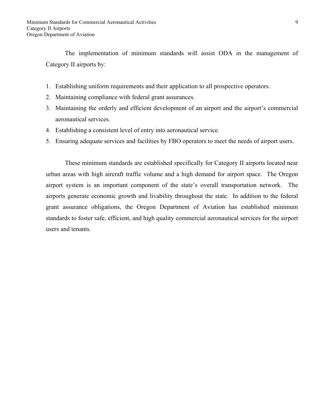The implementation of minimum standards will assist ODA in the management of Category II airports by:

- 1. Establishing uniform requirements and their application to all prospective operators.
- 2. Maintaining compliance with federal grant assurances.
- 3. Maintaining the orderly and efficient development of an airport and the airport's commercial aeronautical services.
- 4. Establishing a consistent level of entry into aeronautical service.
- 5. Ensuring adequate services and facilities by FBO operators to meet the needs of airport users.

 These minimum standards are established specifically for Category II airports located near urban areas with high aircraft traffic volume and a high demand for airport space. The Oregon airport system is an important component of the state's overall transportation network. The airports generate economic growth and livability throughout the state. In addition to the federal grant assurance obligations, the Oregon Department of Aviation has established minimum standards to foster safe, efficient, and high quality commercial aeronautical services for the airport users and tenants.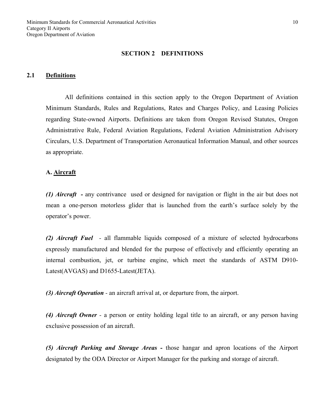#### **SECTION 2 DEFINITIONS**

#### **2.1 Definitions**

All definitions contained in this section apply to the Oregon Department of Aviation Minimum Standards, Rules and Regulations, Rates and Charges Policy, and Leasing Policies regarding State-owned Airports. Definitions are taken from Oregon Revised Statutes, Oregon Administrative Rule, Federal Aviation Regulations, Federal Aviation Administration Advisory Circulars, U.S. Department of Transportation Aeronautical Information Manual, and other sources as appropriate.

#### **A. Aircraft**

*(1) Aircraft -* any contrivance used or designed for navigation or flight in the air but does not mean a one-person motorless glider that is launched from the earth's surface solely by the operator's power.

*(2) Aircraft Fuel -* all flammable liquids composed of a mixture of selected hydrocarbons expressly manufactured and blended for the purpose of effectively and efficiently operating an internal combustion, jet, or turbine engine, which meet the standards of ASTM D910- Latest(AVGAS) and D1655-Latest(JETA).

*(3) Aircraft Operation -* an aircraft arrival at, or departure from, the airport.

*(4) Aircraft Owner -* a person or entity holding legal title to an aircraft, or any person having exclusive possession of an aircraft.

*(5) Aircraft Parking and Storage Areas -* those hangar and apron locations of the Airport designated by the ODA Director or Airport Manager for the parking and storage of aircraft.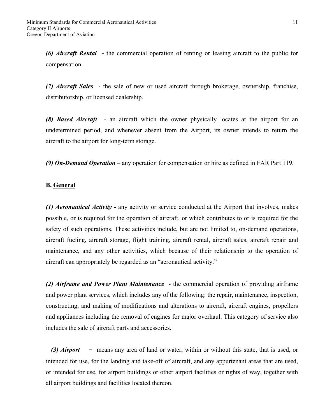*(6) Aircraft Rental* **-** the commercial operation of renting or leasing aircraft to the public for compensation.

*(7) Aircraft Sales* - the sale of new or used aircraft through brokerage, ownership, franchise, distributorship, or licensed dealership.

*(8) Based Aircraft* - an aircraft which the owner physically locates at the airport for an undetermined period, and whenever absent from the Airport, its owner intends to return the aircraft to the airport for long-term storage.

*(9) On-Demand Operation* – any operation for compensation or hire as defined in FAR Part 119.

#### **B. General**

*(1) Aeronautical Activity -* any activity or service conducted at the Airport that involves, makes possible, or is required for the operation of aircraft, or which contributes to or is required for the safety of such operations. These activities include, but are not limited to, on-demand operations, aircraft fueling, aircraft storage, flight training, aircraft rental, aircraft sales, aircraft repair and maintenance, and any other activities, which because of their relationship to the operation of aircraft can appropriately be regarded as an "aeronautical activity."

*(2) Airframe and Power Plant Maintenance* - the commercial operation of providing airframe and power plant services, which includes any of the following: the repair, maintenance, inspection, constructing, and making of modifications and alterations to aircraft, aircraft engines, propellers and appliances including the removal of engines for major overhaul. This category of service also includes the sale of aircraft parts and accessories.

*(3) Airport* **-** means any area of land or water, within or without this state, that is used, or intended for use, for the landing and take-off of aircraft, and any appurtenant areas that are used, or intended for use, for airport buildings or other airport facilities or rights of way, together with all airport buildings and facilities located thereon.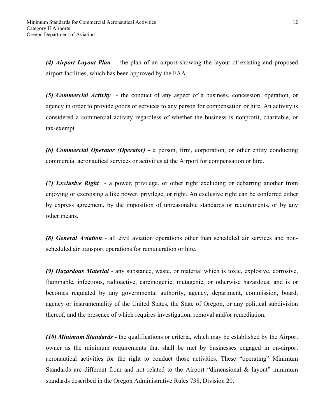*(4) Airport Layout Plan* - the plan of an airport showing the layout of existing and proposed airport facilities, which has been approved by the FAA.

*(5) Commercial Activity* - the conduct of any aspect of a business, concession, operation, or agency in order to provide goods or services to any person for compensation or hire. An activity is considered a commercial activity regardless of whether the business is nonprofit, charitable, or tax-exempt.

*(6) Commercial Operator (Operator)* - a person, firm, corporation, or other entity conducting commercial aeronautical services or activities at the Airport for compensation or hire.

*(7) Exclusive Right* - a power, privilege, or other right excluding or debarring another from enjoying or exercising a like power, privilege, or right. An exclusive right can be conferred either by express agreement, by the imposition of unreasonable standards or requirements, or by any other means.

*(8) General Aviation -* all civil aviation operations other than scheduled air services and nonscheduled air transport operations for remuneration or hire.

*(9) Hazardous Material -* any substance, waste, or material which is toxic, explosive, corrosive, flammable, infectious, radioactive, carcinogenic, mutagenic, or otherwise hazardous, and is or becomes regulated by any governmental authority, agency, department, commission, board, agency or instrumentality of the United States, the State of Oregon, or any political subdivision thereof, and the presence of which requires investigation, removal and/or remediation.

*(10) Minimum Standards -* the qualifications or criteria, which may be established by the Airport owner as the minimum requirements that shall be met by businesses engaged in on-airport aeronautical activities for the right to conduct those activities. These "operating" Minimum Standards are different from and not related to the Airport "dimensional & layout" minimum standards described in the Oregon Administrative Rules 738, Division 20.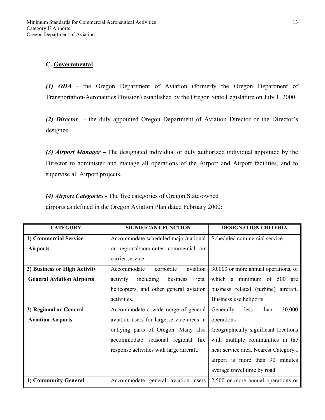# **C. Governmental**

*(1) ODA* - the Oregon Department of Aviation (formerly the Oregon Department of Transportation-Aeronautics Division) established by the Oregon State Legislature on July 1, 2000.

*(2) Director -* the duly appointed Oregon Department of Aviation Director or the Director's designee.

*(3) Airport Manager –* The designated individual or duly authorized individual appointed by the Director to administer and manage all operations of the Airport and Airport facilities, and to supervise all Airport projects.

*(4) Airport Categories -* The five categories of Oregon State-owned airports as defined in the Oregon Aviation Plan dated February 2000:

| <b>CATEGORY</b>                  | <b>SIGNIFICANT FUNCTION</b>                | <b>DESIGNATION CRITERIA</b>           |
|----------------------------------|--------------------------------------------|---------------------------------------|
| 1) Commercial Service            | Accommodate scheduled major/national       | Scheduled commercial service          |
| <b>Airports</b>                  | or regional/commuter commercial air        |                                       |
|                                  | carrier service                            |                                       |
| 2) Business or High Activity     | aviation<br>Accommodate<br>corporate       | 30,000 or more annual operations, of  |
| <b>General Aviation Airports</b> | including<br>business<br>activity<br>jets, | which a minimum of 500 are            |
|                                  | helicopters, and other general aviation    | business related (turbine) aircraft.  |
|                                  | activities.                                | Business use heliports.               |
| 3) Regional or General           | Accommodate a wide range of general        | 30,000<br>Generally<br>than<br>less   |
| <b>Aviation Airports</b>         | aviation users for large service areas in  | operations                            |
|                                  | outlying parts of Oregon. Many also        | Geographically significant locations  |
|                                  | accommodate seasonal regional fire         | with multiple communities in the      |
|                                  | response activities with large aircraft.   | near service area. Nearest Category I |
|                                  |                                            | airport is more than 90 minutes       |
|                                  |                                            | average travel time by road.          |
| 4) Community General             | Accommodate general aviation users         | 2,500 or more annual operations or    |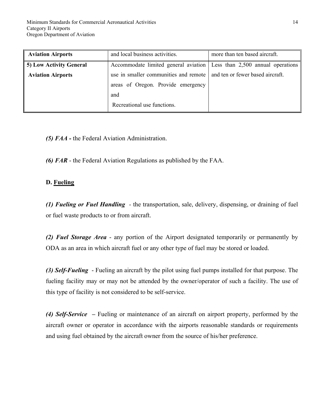| <b>Aviation Airports</b> | and local business activities.                                           | more than ten based aircraft. |
|--------------------------|--------------------------------------------------------------------------|-------------------------------|
| 5) Low Activity General  | Accommodate limited general aviation Less than 2,500 annual operations   |                               |
| <b>Aviation Airports</b> | use in smaller communities and remote   and ten or fewer based aircraft. |                               |
|                          | areas of Oregon. Provide emergency                                       |                               |
|                          | and                                                                      |                               |
|                          | Recreational use functions.                                              |                               |

*(5) FAA -* the Federal Aviation Administration.

*(6) FAR* - the Federal Aviation Regulations as published by the FAA.

# **D. Fueling**

*(1) Fueling or Fuel Handling -* the transportation, sale, delivery, dispensing, or draining of fuel or fuel waste products to or from aircraft.

*(2) Fuel Storage Area* - any portion of the Airport designated temporarily or permanently by ODA as an area in which aircraft fuel or any other type of fuel may be stored or loaded.

*(3) Self-Fueling* - Fueling an aircraft by the pilot using fuel pumps installed for that purpose. The fueling facility may or may not be attended by the owner/operator of such a facility. The use of this type of facility is not considered to be self-service.

*(4) Self-Service –* Fueling or maintenance of an aircraft on airport property, performed by the aircraft owner or operator in accordance with the airports reasonable standards or requirements and using fuel obtained by the aircraft owner from the source of his/her preference.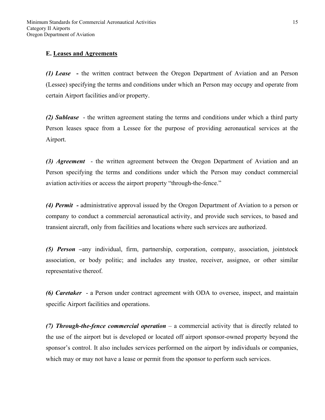# **E. Leases and Agreements**

*(1) Lease* **-** the written contract between the Oregon Department of Aviation and an Person (Lessee) specifying the terms and conditions under which an Person may occupy and operate from certain Airport facilities and/or property.

*(2) Sublease* - the written agreement stating the terms and conditions under which a third party Person leases space from a Lessee for the purpose of providing aeronautical services at the Airport.

*(3) Agreement* - the written agreement between the Oregon Department of Aviation and an Person specifying the terms and conditions under which the Person may conduct commercial aviation activities or access the airport property "through-the-fence."

*(4) Permit -* administrative approval issued by the Oregon Department of Aviation to a person or company to conduct a commercial aeronautical activity, and provide such services, to based and transient aircraft, only from facilities and locations where such services are authorized.

*(5) Person –*any individual, firm, partnership, corporation, company, association, jointstock association, or body politic; and includes any trustee, receiver, assignee, or other similar representative thereof.

*(6) Caretaker* - a Person under contract agreement with ODA to oversee, inspect, and maintain specific Airport facilities and operations.

*(7) Through-the-fence commercial operation* – a commercial activity that is directly related to the use of the airport but is developed or located off airport sponsor-owned property beyond the sponsor's control. It also includes services performed on the airport by individuals or companies, which may or may not have a lease or permit from the sponsor to perform such services.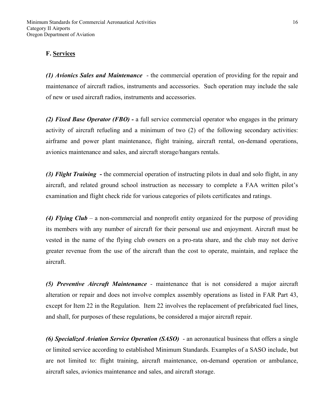# **F. Services**

*(1) Avionics Sales and Maintenance* - the commercial operation of providing for the repair and maintenance of aircraft radios, instruments and accessories. Such operation may include the sale of new or used aircraft radios, instruments and accessories.

*(2) Fixed Base Operator (FBO) -* a full service commercial operator who engages in the primary activity of aircraft refueling and a minimum of two (2) of the following secondary activities: airframe and power plant maintenance, flight training, aircraft rental, on-demand operations, avionics maintenance and sales, and aircraft storage/hangars rentals.

*(3) Flight Training* **-** the commercial operation of instructing pilots in dual and solo flight, in any aircraft, and related ground school instruction as necessary to complete a FAA written pilot's examination and flight check ride for various categories of pilots certificates and ratings.

*(4) Flying Club* – a non-commercial and nonprofit entity organized for the purpose of providing its members with any number of aircraft for their personal use and enjoyment. Aircraft must be vested in the name of the flying club owners on a pro-rata share, and the club may not derive greater revenue from the use of the aircraft than the cost to operate, maintain, and replace the aircraft.

*(5) Preventive Aircraft Maintenance -* maintenance that is not considered a major aircraft alteration or repair and does not involve complex assembly operations as listed in FAR Part 43, except for Item 22 in the Regulation. Item 22 involves the replacement of prefabricated fuel lines, and shall, for purposes of these regulations, be considered a major aircraft repair.

*(6) Specialized Aviation Service Operation (SASO)* - an aeronautical business that offers a single or limited service according to established Minimum Standards. Examples of a SASO include, but are not limited to: flight training, aircraft maintenance, on-demand operation or ambulance, aircraft sales, avionics maintenance and sales, and aircraft storage.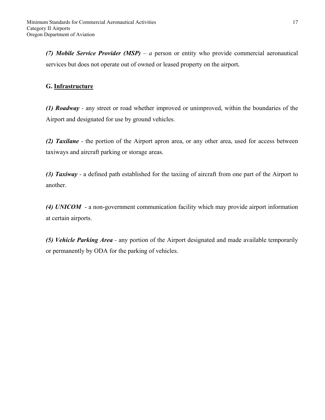*(7) Mobile Service Provider (MSP) – a* person or entity who provide commercial aeronautical services but does not operate out of owned or leased property on the airport**.** 

# **G. Infrastructure**

*(1) Roadway -* any street or road whether improved or unimproved, within the boundaries of the Airport and designated for use by ground vehicles.

*(2) Taxilane -* the portion of the Airport apron area, or any other area, used for access between taxiways and aircraft parking or storage areas.

*(3) Taxiway -* a defined path established for the taxiing of aircraft from one part of the Airport to another.

*(4) UNICOM* - a non-government communication facility which may provide airport information at certain airports.

*(5) Vehicle Parking Area -* any portion of the Airport designated and made available temporarily or permanently by ODA for the parking of vehicles.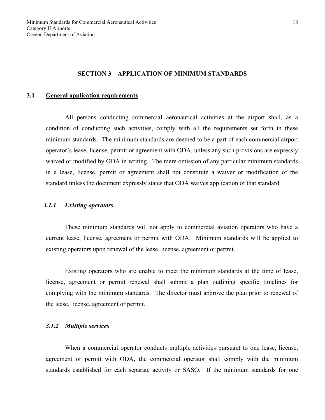#### **SECTION 3 APPLICATION OF MINIMUM STANDARDS**

#### **3.1 General application requirements**

 All persons conducting commercial aeronautical activities at the airport shall, as a condition of conducting such activities, comply with all the requirements set forth in these minimum standards. The minimum standards are deemed to be a part of each commercial airport operator's lease, license, permit or agreement with ODA, unless any such provisions are expressly waived or modified by ODA in writing. The mere omission of any particular minimum standards in a lease, license, permit or agreement shall not constitute a waiver or modification of the standard unless the document expressly states that ODA waives application of that standard.

# *3.1.1 Existing operators*

 These minimum standards will not apply to commercial aviation operators who have a current lease, license, agreement or permit with ODA. Minimum standards will be applied to existing operators upon renewal of the lease, license, agreement or permit.

 Existing operators who are unable to meet the minimum standards at the time of lease, license, agreement or permit renewal shall submit a plan outlining specific timelines for complying with the minimum standards. The director must approve the plan prior to renewal of the lease, license, agreement or permit.

#### *3.1.2 Multiple services*

 When a commercial operator conducts multiple activities pursuant to one lease, license, agreement or permit with ODA, the commercial operator shall comply with the minimum standards established for each separate activity or SASO. If the minimum standards for one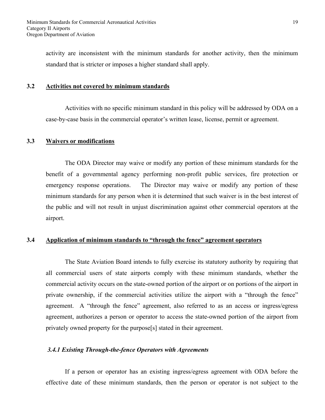activity are inconsistent with the minimum standards for another activity, then the minimum standard that is stricter or imposes a higher standard shall apply.

#### **3.2 Activities not covered by minimum standards**

 Activities with no specific minimum standard in this policy will be addressed by ODA on a case-by-case basis in the commercial operator's written lease, license, permit or agreement.

#### **3.3 Waivers or modifications**

 The ODA Director may waive or modify any portion of these minimum standards for the benefit of a governmental agency performing non-profit public services, fire protection or emergency response operations. The Director may waive or modify any portion of these minimum standards for any person when it is determined that such waiver is in the best interest of the public and will not result in unjust discrimination against other commercial operators at the airport.

# **3.4 Application of minimum standards to "through the fence" agreement operators**

 The State Aviation Board intends to fully exercise its statutory authority by requiring that all commercial users of state airports comply with these minimum standards, whether the commercial activity occurs on the state-owned portion of the airport or on portions of the airport in private ownership, if the commercial activities utilize the airport with a "through the fence" agreement. A "through the fence" agreement, also referred to as an access or ingress/egress agreement, authorizes a person or operator to access the state-owned portion of the airport from privately owned property for the purpose[s] stated in their agreement.

#### *3.4.1 Existing Through-the-fence Operators with Agreements*

 If a person or operator has an existing ingress/egress agreement with ODA before the effective date of these minimum standards, then the person or operator is not subject to the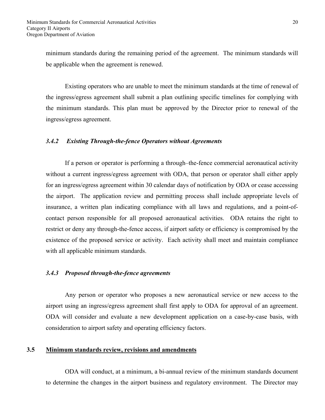minimum standards during the remaining period of the agreement. The minimum standards will be applicable when the agreement is renewed.

 Existing operators who are unable to meet the minimum standards at the time of renewal of the ingress/egress agreement shall submit a plan outlining specific timelines for complying with the minimum standards. This plan must be approved by the Director prior to renewal of the ingress/egress agreement.

# *3.4.2 Existing Through-the-fence Operators without Agreements*

 If a person or operator is performing a through–the-fence commercial aeronautical activity without a current ingress/egress agreement with ODA, that person or operator shall either apply for an ingress/egress agreement within 30 calendar days of notification by ODA or cease accessing the airport. The application review and permitting process shall include appropriate levels of insurance, a written plan indicating compliance with all laws and regulations, and a point-ofcontact person responsible for all proposed aeronautical activities. ODA retains the right to restrict or deny any through-the-fence access, if airport safety or efficiency is compromised by the existence of the proposed service or activity. Each activity shall meet and maintain compliance with all applicable minimum standards.

#### *3.4.3 Proposed through-the-fence agreements*

 Any person or operator who proposes a new aeronautical service or new access to the airport using an ingress/egress agreement shall first apply to ODA for approval of an agreement. ODA will consider and evaluate a new development application on a case-by-case basis, with consideration to airport safety and operating efficiency factors.

# **3.5 Minimum standards review, revisions and amendments**

ODA will conduct, at a minimum, a bi-annual review of the minimum standards document to determine the changes in the airport business and regulatory environment. The Director may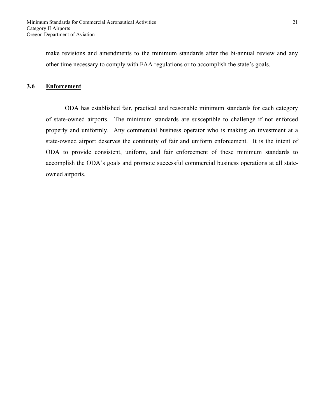make revisions and amendments to the minimum standards after the bi-annual review and any other time necessary to comply with FAA regulations or to accomplish the state's goals.

#### **3.6 Enforcement**

 ODA has established fair, practical and reasonable minimum standards for each category of state-owned airports. The minimum standards are susceptible to challenge if not enforced properly and uniformly. Any commercial business operator who is making an investment at a state-owned airport deserves the continuity of fair and uniform enforcement. It is the intent of ODA to provide consistent, uniform, and fair enforcement of these minimum standards to accomplish the ODA's goals and promote successful commercial business operations at all stateowned airports.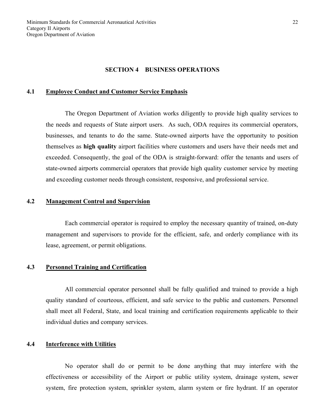#### **SECTION 4 BUSINESS OPERATIONS**

#### **4.1 Employee Conduct and Customer Service Emphasis**

 The Oregon Department of Aviation works diligently to provide high quality services to the needs and requests of State airport users. As such, ODA requires its commercial operators, businesses, and tenants to do the same. State-owned airports have the opportunity to position themselves as **high quality** airport facilities where customers and users have their needs met and exceeded. Consequently, the goal of the ODA is straight-forward: offer the tenants and users of state-owned airports commercial operators that provide high quality customer service by meeting and exceeding customer needs through consistent, responsive, and professional service.

#### **4.2 Management Control and Supervision**

Each commercial operator is required to employ the necessary quantity of trained, on-duty management and supervisors to provide for the efficient, safe, and orderly compliance with its lease, agreement, or permit obligations.

#### **4.3 Personnel Training and Certification**

 All commercial operator personnel shall be fully qualified and trained to provide a high quality standard of courteous, efficient, and safe service to the public and customers. Personnel shall meet all Federal, State, and local training and certification requirements applicable to their individual duties and company services.

#### **4.4 Interference with Utilities**

 No operator shall do or permit to be done anything that may interfere with the effectiveness or accessibility of the Airport or public utility system, drainage system, sewer system, fire protection system, sprinkler system, alarm system or fire hydrant. If an operator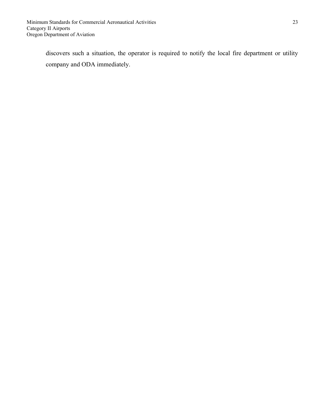discovers such a situation, the operator is required to notify the local fire department or utility company and ODA immediately.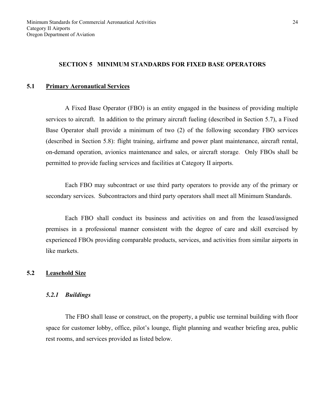## **SECTION 5 MINIMUM STANDARDS FOR FIXED BASE OPERATORS**

#### **5.1 Primary Aeronautical Services**

 A Fixed Base Operator (FBO) is an entity engaged in the business of providing multiple services to aircraft. In addition to the primary aircraft fueling (described in Section 5.7), a Fixed Base Operator shall provide a minimum of two (2) of the following secondary FBO services (described in Section 5.8): flight training, airframe and power plant maintenance, aircraft rental, on-demand operation, avionics maintenance and sales, or aircraft storage. Only FBOs shall be permitted to provide fueling services and facilities at Category II airports.

 Each FBO may subcontract or use third party operators to provide any of the primary or secondary services. Subcontractors and third party operators shall meet all Minimum Standards.

 Each FBO shall conduct its business and activities on and from the leased/assigned premises in a professional manner consistent with the degree of care and skill exercised by experienced FBOs providing comparable products, services, and activities from similar airports in like markets.

#### **5.2 Leasehold Size**

#### *5.2.1 Buildings*

 The FBO shall lease or construct, on the property, a public use terminal building with floor space for customer lobby, office, pilot's lounge, flight planning and weather briefing area, public rest rooms, and services provided as listed below.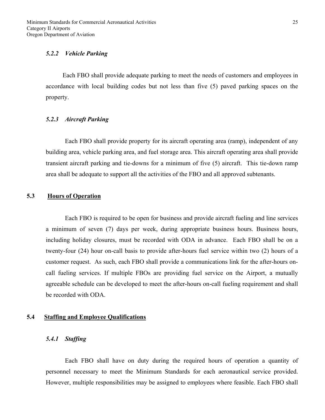#### *5.2.2 Vehicle Parking*

Each FBO shall provide adequate parking to meet the needs of customers and employees in accordance with local building codes but not less than five (5) paved parking spaces on the property.

#### *5.2.3 Aircraft Parking*

 Each FBO shall provide property for its aircraft operating area (ramp), independent of any building area, vehicle parking area, and fuel storage area. This aircraft operating area shall provide transient aircraft parking and tie-downs for a minimum of five (5) aircraft. This tie-down ramp area shall be adequate to support all the activities of the FBO and all approved subtenants.

# **5.3 Hours of Operation**

Each FBO is required to be open for business and provide aircraft fueling and line services a minimum of seven (7) days per week, during appropriate business hours. Business hours, including holiday closures, must be recorded with ODA in advance. Each FBO shall be on a twenty-four (24) hour on-call basis to provide after-hours fuel service within two (2) hours of a customer request. As such, each FBO shall provide a communications link for the after-hours oncall fueling services. If multiple FBOs are providing fuel service on the Airport, a mutually agreeable schedule can be developed to meet the after-hours on-call fueling requirement and shall be recorded with ODA.

#### **5.4 Staffing and Employee Qualifications**

#### *5.4.1 Staffing*

 Each FBO shall have on duty during the required hours of operation a quantity of personnel necessary to meet the Minimum Standards for each aeronautical service provided. However, multiple responsibilities may be assigned to employees where feasible. Each FBO shall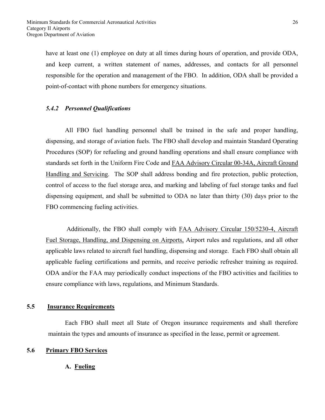have at least one (1) employee on duty at all times during hours of operation, and provide ODA, and keep current, a written statement of names, addresses, and contacts for all personnel responsible for the operation and management of the FBO. In addition, ODA shall be provided a point-of-contact with phone numbers for emergency situations.

# *5.4.2 Personnel Qualifications*

 All FBO fuel handling personnel shall be trained in the safe and proper handling, dispensing, and storage of aviation fuels. The FBO shall develop and maintain Standard Operating Procedures (SOP) for refueling and ground handling operations and shall ensure compliance with standards set forth in the Uniform Fire Code and FAA Advisory Circular 00-34A, Aircraft Ground Handling and Servicing. The SOP shall address bonding and fire protection, public protection, control of access to the fuel storage area, and marking and labeling of fuel storage tanks and fuel dispensing equipment, and shall be submitted to ODA no later than thirty (30) days prior to the FBO commencing fueling activities.

 Additionally, the FBO shall comply with FAA Advisory Circular 150/5230-4, Aircraft Fuel Storage, Handling, and Dispensing on Airports, Airport rules and regulations, and all other applicable laws related to aircraft fuel handling, dispensing and storage. Each FBO shall obtain all applicable fueling certifications and permits, and receive periodic refresher training as required. ODA and/or the FAA may periodically conduct inspections of the FBO activities and facilities to ensure compliance with laws, regulations, and Minimum Standards.

### **5.5 Insurance Requirements**

 Each FBO shall meet all State of Oregon insurance requirements and shall therefore maintain the types and amounts of insurance as specified in the lease, permit or agreement.

#### **5.6 Primary FBO Services**

**A. Fueling**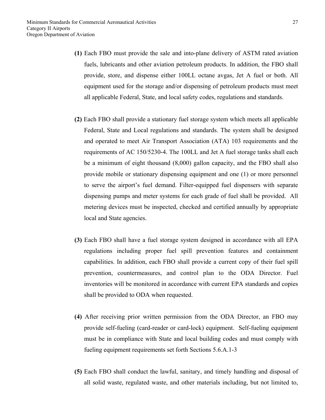- **(1)** Each FBO must provide the sale and into-plane delivery of ASTM rated aviation fuels, lubricants and other aviation petroleum products. In addition, the FBO shall provide, store, and dispense either 100LL octane avgas, Jet A fuel or both. All equipment used for the storage and/or dispensing of petroleum products must meet all applicable Federal, State, and local safety codes, regulations and standards.
- **(2)** Each FBO shall provide a stationary fuel storage system which meets all applicable Federal, State and Local regulations and standards. The system shall be designed and operated to meet Air Transport Association (ATA) 103 requirements and the requirements of AC 150/5230-4. The 100LL and Jet A fuel storage tanks shall each be a minimum of eight thousand (8,000) gallon capacity, and the FBO shall also provide mobile or stationary dispensing equipment and one (1) or more personnel to serve the airport's fuel demand. Filter-equipped fuel dispensers with separate dispensing pumps and meter systems for each grade of fuel shall be provided. All metering devices must be inspected, checked and certified annually by appropriate local and State agencies.
- **(3)** Each FBO shall have a fuel storage system designed in accordance with all EPA regulations including proper fuel spill prevention features and containment capabilities. In addition, each FBO shall provide a current copy of their fuel spill prevention, countermeasures, and control plan to the ODA Director. Fuel inventories will be monitored in accordance with current EPA standards and copies shall be provided to ODA when requested.
- **(4)** After receiving prior written permission from the ODA Director, an FBO may provide self-fueling (card-reader or card-lock) equipment. Self-fueling equipment must be in compliance with State and local building codes and must comply with fueling equipment requirements set forth Sections 5.6.A.1-3
- **(5)** Each FBO shall conduct the lawful, sanitary, and timely handling and disposal of all solid waste, regulated waste, and other materials including, but not limited to,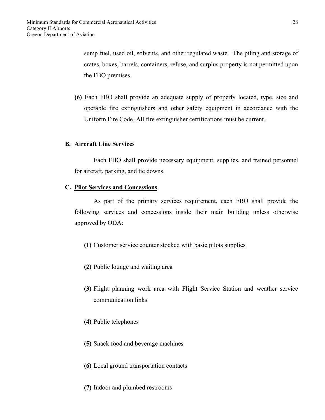sump fuel, used oil, solvents, and other regulated waste. The piling and storage of crates, boxes, barrels, containers, refuse, and surplus property is not permitted upon the FBO premises.

**(6)** Each FBO shall provide an adequate supply of properly located, type, size and operable fire extinguishers and other safety equipment in accordance with the Uniform Fire Code. All fire extinguisher certifications must be current.

#### **B. Aircraft Line Services**

Each FBO shall provide necessary equipment, supplies, and trained personnel for aircraft, parking, and tie downs.

#### **C. Pilot Services and Concessions**

As part of the primary services requirement, each FBO shall provide the following services and concessions inside their main building unless otherwise approved by ODA:

- **(1)** Customer service counter stocked with basic pilots supplies
- **(2)** Public lounge and waiting area
- **(3)** Flight planning work area with Flight Service Station and weather service communication links
- **(4)** Public telephones
- **(5)** Snack food and beverage machines
- **(6)** Local ground transportation contacts
- **(7)** Indoor and plumbed restrooms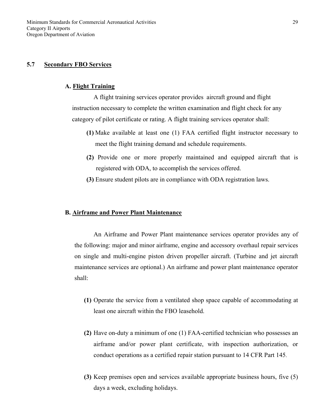# **5.7 Secondary FBO Services**

#### **A. Flight Training**

 A flight training services operator provides aircraft ground and flight instruction necessary to complete the written examination and flight check for any category of pilot certificate or rating. A flight training services operator shall:

- **(1)** Make available at least one (1) FAA certified flight instructor necessary to meet the flight training demand and schedule requirements.
- **(2)** Provide one or more properly maintained and equipped aircraft that is registered with ODA, to accomplish the services offered.
- **(3)** Ensure student pilots are in compliance with ODA registration laws.

#### **B. Airframe and Power Plant Maintenance**

An Airframe and Power Plant maintenance services operator provides any of the following: major and minor airframe, engine and accessory overhaul repair services on single and multi-engine piston driven propeller aircraft. (Turbine and jet aircraft maintenance services are optional.) An airframe and power plant maintenance operator shall:

- **(1)** Operate the service from a ventilated shop space capable of accommodating at least one aircraft within the FBO leasehold.
- **(2)** Have on-duty a minimum of one (1) FAA-certified technician who possesses an airframe and/or power plant certificate, with inspection authorization, or conduct operations as a certified repair station pursuant to 14 CFR Part 145.
- **(3)** Keep premises open and services available appropriate business hours, five (5) days a week, excluding holidays.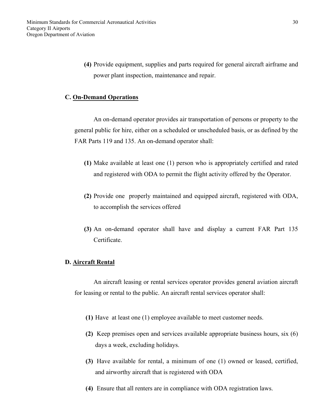**(4)** Provide equipment, supplies and parts required for general aircraft airframe and power plant inspection, maintenance and repair.

#### **C. On-Demand Operations**

An on-demand operator provides air transportation of persons or property to the general public for hire, either on a scheduled or unscheduled basis, or as defined by the FAR Parts 119 and 135. An on-demand operator shall:

- **(1)** Make available at least one (1) person who is appropriately certified and rated and registered with ODA to permit the flight activity offered by the Operator.
- **(2)** Provide one properly maintained and equipped aircraft, registered with ODA, to accomplish the services offered
- **(3)** An on-demand operator shall have and display a current FAR Part 135 Certificate.

## **D. Aircraft Rental**

An aircraft leasing or rental services operator provides general aviation aircraft for leasing or rental to the public. An aircraft rental services operator shall:

- **(1)** Have at least one (1) employee available to meet customer needs.
- **(2)** Keep premises open and services available appropriate business hours, six (6) days a week, excluding holidays.
- **(3)** Have available for rental, a minimum of one (1) owned or leased, certified, and airworthy aircraft that is registered with ODA
- **(4)** Ensure that all renters are in compliance with ODA registration laws.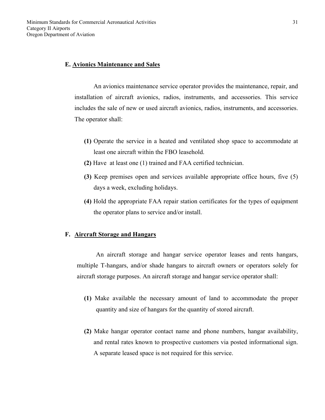### **E. Avionics Maintenance and Sales**

An avionics maintenance service operator provides the maintenance, repair, and installation of aircraft avionics, radios, instruments, and accessories. This service includes the sale of new or used aircraft avionics, radios, instruments, and accessories. The operator shall:

- **(1)** Operate the service in a heated and ventilated shop space to accommodate at least one aircraft within the FBO leasehold.
- **(2)** Have at least one (1) trained and FAA certified technician.
- **(3)** Keep premises open and services available appropriate office hours, five (5) days a week, excluding holidays.
- **(4)** Hold the appropriate FAA repair station certificates for the types of equipment the operator plans to service and/or install.

### **F. Aircraft Storage and Hangars**

An aircraft storage and hangar service operator leases and rents hangars, multiple T-hangars, and/or shade hangars to aircraft owners or operators solely for aircraft storage purposes. An aircraft storage and hangar service operator shall:

- **(1)** Make available the necessary amount of land to accommodate the proper quantity and size of hangars for the quantity of stored aircraft.
- **(2)** Make hangar operator contact name and phone numbers, hangar availability, and rental rates known to prospective customers via posted informational sign. A separate leased space is not required for this service.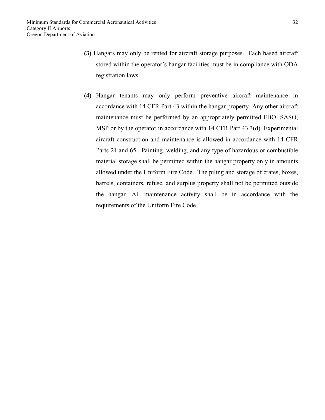- **(3)** Hangars may only be rented for aircraft storage purposes. Each based aircraft stored within the operator's hangar facilities must be in compliance with ODA registration laws.
- **(4)** Hangar tenants may only perform preventive aircraft maintenance in accordance with 14 CFR Part 43 within the hangar property. Any other aircraft maintenance must be performed by an appropriately permitted FBO, SASO, MSP or by the operator in accordance with 14 CFR Part 43.3(d). Experimental aircraft construction and maintenance is allowed in accordance with 14 CFR Parts 21 and 65. Painting, welding, and any type of hazardous or combustible material storage shall be permitted within the hangar property only in amounts allowed under the Uniform Fire Code. The piling and storage of crates, boxes, barrels, containers, refuse, and surplus property shall not be permitted outside the hangar. All maintenance activity shall be in accordance with the requirements of the Uniform Fire Code.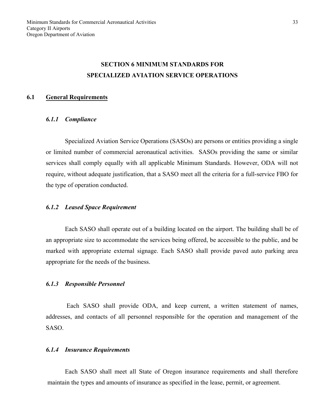# **SECTION 6 MINIMUM STANDARDS FOR SPECIALIZED AVIATION SERVICE OPERATIONS**

#### **6.1 General Requirements**

#### *6.1.1 Compliance*

 Specialized Aviation Service Operations (SASOs) are persons or entities providing a single or limited number of commercial aeronautical activities. SASOs providing the same or similar services shall comply equally with all applicable Minimum Standards. However, ODA will not require, without adequate justification, that a SASO meet all the criteria for a full-service FBO for the type of operation conducted.

#### *6.1.2 Leased Space Requirement*

 Each SASO shall operate out of a building located on the airport. The building shall be of an appropriate size to accommodate the services being offered, be accessible to the public, and be marked with appropriate external signage. Each SASO shall provide paved auto parking area appropriate for the needs of the business.

#### *6.1.3 Responsible Personnel*

Each SASO shall provide ODA, and keep current, a written statement of names, addresses, and contacts of all personnel responsible for the operation and management of the SASO.

#### *6.1.4 Insurance Requirements*

 Each SASO shall meet all State of Oregon insurance requirements and shall therefore maintain the types and amounts of insurance as specified in the lease, permit, or agreement.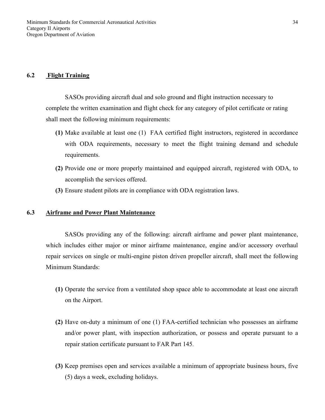#### **6.2 Flight Training**

 SASOs providing aircraft dual and solo ground and flight instruction necessary to complete the written examination and flight check for any category of pilot certificate or rating shall meet the following minimum requirements:

- **(1)** Make available at least one (1) FAA certified flight instructors, registered in accordance with ODA requirements, necessary to meet the flight training demand and schedule requirements.
- **(2)** Provide one or more properly maintained and equipped aircraft, registered with ODA, to accomplish the services offered.
- **(3)** Ensure student pilots are in compliance with ODA registration laws.

#### **6.3 Airframe and Power Plant Maintenance**

SASOs providing any of the following: aircraft airframe and power plant maintenance, which includes either major or minor airframe maintenance, engine and/or accessory overhaul repair services on single or multi-engine piston driven propeller aircraft, shall meet the following Minimum Standards:

- **(1)** Operate the service from a ventilated shop space able to accommodate at least one aircraft on the Airport.
- **(2)** Have on-duty a minimum of one (1) FAA-certified technician who possesses an airframe and/or power plant, with inspection authorization, or possess and operate pursuant to a repair station certificate pursuant to FAR Part 145.
- **(3)** Keep premises open and services available a minimum of appropriate business hours, five (5) days a week, excluding holidays.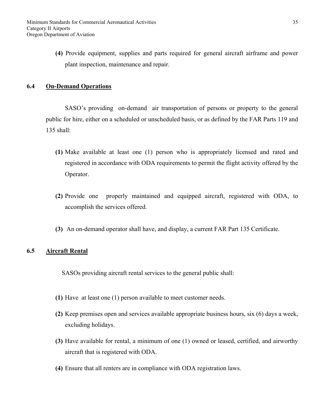**(4)** Provide equipment, supplies and parts required for general aircraft airframe and power plant inspection, maintenance and repair.

# **6.4 On-Demand Operations**

SASO's providing on-demand air transportation of persons or property to the general public for hire, either on a scheduled or unscheduled basis, or as defined by the FAR Parts 119 and 135 shall:

- **(1)** Make available at least one (1) person who is appropriately licensed and rated and registered in accordance with ODA requirements to permit the flight activity offered by the Operator.
- **(2)** Provide one properly maintained and equipped aircraft, registered with ODA, to accomplish the services offered.
- **(3)** An on-demand operator shall have, and display, a current FAR Part 135 Certificate.

# **6.5 Aircraft Rental**

SASOs providing aircraft rental services to the general public shall:

- **(1)** Have at least one (1) person available to meet customer needs.
- **(2)** Keep premises open and services available appropriate business hours, six (6) days a week, excluding holidays.
- **(3)** Have available for rental, a minimum of one (1) owned or leased, certified, and airworthy aircraft that is registered with ODA.
- **(4)** Ensure that all renters are in compliance with ODA registration laws.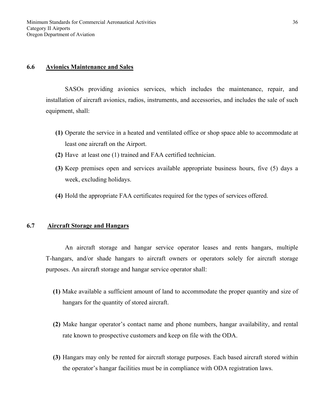### **6.6 Avionics Maintenance and Sales**

SASOs providing avionics services, which includes the maintenance, repair, and installation of aircraft avionics, radios, instruments, and accessories, and includes the sale of such equipment, shall:

- **(1)** Operate the service in a heated and ventilated office or shop space able to accommodate at least one aircraft on the Airport.
- **(2)** Have at least one (1) trained and FAA certified technician.
- **(3)** Keep premises open and services available appropriate business hours, five (5) days a week, excluding holidays.
- **(4)** Hold the appropriate FAA certificates required for the types of services offered.

# **6.7 Aircraft Storage and Hangars**

An aircraft storage and hangar service operator leases and rents hangars, multiple T-hangars, and/or shade hangars to aircraft owners or operators solely for aircraft storage purposes. An aircraft storage and hangar service operator shall:

- **(1)** Make available a sufficient amount of land to accommodate the proper quantity and size of hangars for the quantity of stored aircraft.
- **(2)** Make hangar operator's contact name and phone numbers, hangar availability, and rental rate known to prospective customers and keep on file with the ODA.
- **(3)** Hangars may only be rented for aircraft storage purposes. Each based aircraft stored within the operator's hangar facilities must be in compliance with ODA registration laws.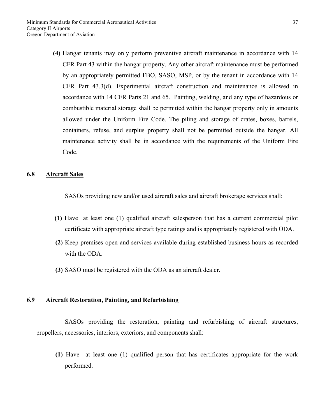**(4)** Hangar tenants may only perform preventive aircraft maintenance in accordance with 14 CFR Part 43 within the hangar property. Any other aircraft maintenance must be performed by an appropriately permitted FBO, SASO, MSP, or by the tenant in accordance with 14 CFR Part 43.3(d). Experimental aircraft construction and maintenance is allowed in accordance with 14 CFR Parts 21 and 65. Painting, welding, and any type of hazardous or combustible material storage shall be permitted within the hangar property only in amounts allowed under the Uniform Fire Code. The piling and storage of crates, boxes, barrels, containers, refuse, and surplus property shall not be permitted outside the hangar. All maintenance activity shall be in accordance with the requirements of the Uniform Fire Code.

# **6.8 Aircraft Sales**

SASOs providing new and/or used aircraft sales and aircraft brokerage services shall:

- **(1)** Have at least one (1) qualified aircraft salesperson that has a current commercial pilot certificate with appropriate aircraft type ratings and is appropriately registered with ODA.
- **(2)** Keep premises open and services available during established business hours as recorded with the ODA.
- **(3)** SASO must be registered with the ODA as an aircraft dealer.

#### **6.9 Aircraft Restoration, Painting, and Refurbishing**

 SASOs providing the restoration, painting and refurbishing of aircraft structures, propellers, accessories, interiors, exteriors, and components shall:

**(1)** Have at least one (1) qualified person that has certificates appropriate for the work performed.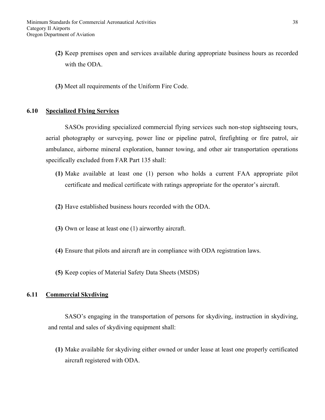- **(2)** Keep premises open and services available during appropriate business hours as recorded with the ODA.
- **(3)** Meet all requirements of the Uniform Fire Code.

# **6.10 Specialized Flying Services**

SASOs providing specialized commercial flying services such non-stop sightseeing tours, aerial photography or surveying, power line or pipeline patrol, firefighting or fire patrol, air ambulance, airborne mineral exploration, banner towing, and other air transportation operations specifically excluded from FAR Part 135 shall:

- **(1)** Make available at least one (1) person who holds a current FAA appropriate pilot certificate and medical certificate with ratings appropriate for the operator's aircraft.
- **(2)** Have established business hours recorded with the ODA.
- **(3)** Own or lease at least one (1) airworthy aircraft.
- **(4)** Ensure that pilots and aircraft are in compliance with ODA registration laws.
- **(5)** Keep copies of Material Safety Data Sheets (MSDS)

# **6.11 Commercial Skydiving**

SASO's engaging in the transportation of persons for skydiving, instruction in skydiving, and rental and sales of skydiving equipment shall:

**(1)** Make available for skydiving either owned or under lease at least one properly certificated aircraft registered with ODA.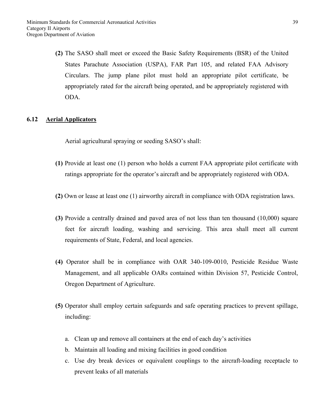**(2)** The SASO shall meet or exceed the Basic Safety Requirements (BSR) of the United States Parachute Association (USPA), FAR Part 105, and related FAA Advisory Circulars. The jump plane pilot must hold an appropriate pilot certificate, be appropriately rated for the aircraft being operated, and be appropriately registered with ODA.

# **6.12 Aerial Applicators**

Aerial agricultural spraying or seeding SASO's shall:

- **(1)** Provide at least one (1) person who holds a current FAA appropriate pilot certificate with ratings appropriate for the operator's aircraft and be appropriately registered with ODA.
- **(2)** Own or lease at least one (1) airworthy aircraft in compliance with ODA registration laws.
- **(3)** Provide a centrally drained and paved area of not less than ten thousand (10,000) square feet for aircraft loading, washing and servicing. This area shall meet all current requirements of State, Federal, and local agencies.
- **(4)** Operator shall be in compliance with OAR 340-109-0010, Pesticide Residue Waste Management, and all applicable OARs contained within Division 57, Pesticide Control, Oregon Department of Agriculture.
- **(5)** Operator shall employ certain safeguards and safe operating practices to prevent spillage, including:
	- a. Clean up and remove all containers at the end of each day's activities
	- b. Maintain all loading and mixing facilities in good condition
	- c. Use dry break devices or equivalent couplings to the aircraft-loading receptacle to prevent leaks of all materials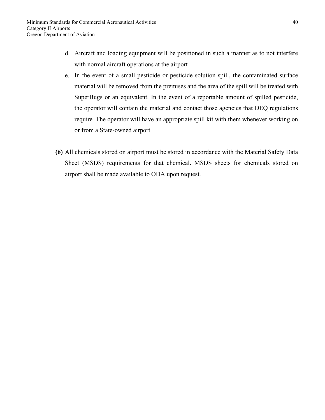- d. Aircraft and loading equipment will be positioned in such a manner as to not interfere with normal aircraft operations at the airport
- e. In the event of a small pesticide or pesticide solution spill, the contaminated surface material will be removed from the premises and the area of the spill will be treated with SuperBugs or an equivalent. In the event of a reportable amount of spilled pesticide, the operator will contain the material and contact those agencies that DEQ regulations require. The operator will have an appropriate spill kit with them whenever working on or from a State-owned airport.
- **(6)** All chemicals stored on airport must be stored in accordance with the Material Safety Data Sheet (MSDS) requirements for that chemical. MSDS sheets for chemicals stored on airport shall be made available to ODA upon request.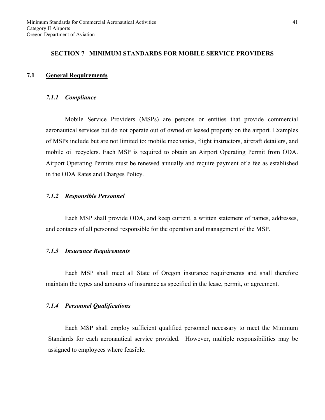#### **SECTION 7 MINIMUM STANDARDS FOR MOBILE SERVICE PROVIDERS**

#### **7.1 General Requirements**

#### *7.1.1 Compliance*

Mobile Service Providers (MSPs) are persons or entities that provide commercial aeronautical services but do not operate out of owned or leased property on the airport. Examples of MSPs include but are not limited to: mobile mechanics, flight instructors, aircraft detailers, and mobile oil recyclers. Each MSP is required to obtain an Airport Operating Permit from ODA. Airport Operating Permits must be renewed annually and require payment of a fee as established in the ODA Rates and Charges Policy.

#### *7.1.2 Responsible Personnel*

Each MSP shall provide ODA, and keep current, a written statement of names, addresses, and contacts of all personnel responsible for the operation and management of the MSP.

#### *7.1.3 Insurance Requirements*

Each MSP shall meet all State of Oregon insurance requirements and shall therefore maintain the types and amounts of insurance as specified in the lease, permit, or agreement.

#### *7.1.4 Personnel Qualifications*

Each MSP shall employ sufficient qualified personnel necessary to meet the Minimum Standards for each aeronautical service provided. However, multiple responsibilities may be assigned to employees where feasible.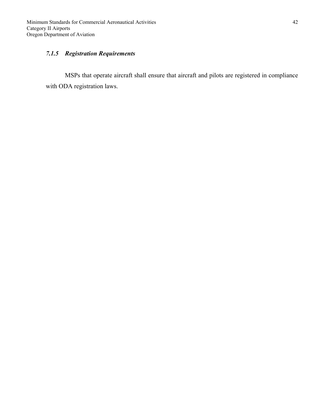# *7.1.5 Registration Requirements*

MSPs that operate aircraft shall ensure that aircraft and pilots are registered in compliance with ODA registration laws.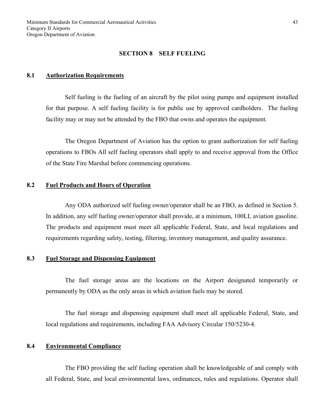#### **SECTION 8 SELF FUELING**

#### **8.1 Authorization Requirements**

Self fueling is the fueling of an aircraft by the pilot using pumps and equipment installed for that purpose. A self fueling facility is for public use by approved cardholders. The fueling facility may or may not be attended by the FBO that owns and operates the equipment.

 The Oregon Department of Aviation has the option to grant authorization for self fueling operations to FBOs All self fueling operators shall apply to and receive approval from the Office of the State Fire Marshal before commencing operations.

#### **8.2 Fuel Products and Hours of Operation**

Any ODA authorized self fueling owner/operator shall be an FBO, as defined in Section 5. In addition, any self fueling owner/operator shall provide, at a minimum, 100LL aviation gasoline. The products and equipment must meet all applicable Federal, State, and local regulations and requirements regarding safety, testing, filtering, inventory management, and quality assurance.

#### **8.3 Fuel Storage and Dispensing Equipment**

The fuel storage areas are the locations on the Airport designated temporarily or permanently by ODA as the only areas in which aviation fuels may be stored.

The fuel storage and dispensing equipment shall meet all applicable Federal, State, and local regulations and requirements, including FAA Advisory Circular 150/5230-4.

# **8.4 Environmental Compliance**

 The FBO providing the self fueling operation shall be knowledgeable of and comply with all Federal, State, and local environmental laws, ordinances, rules and regulations. Operator shall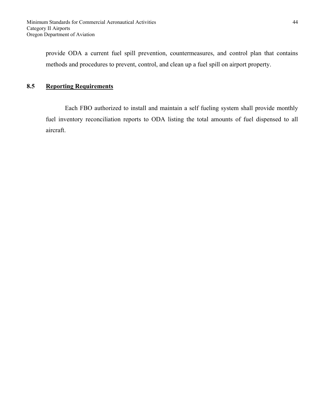provide ODA a current fuel spill prevention, countermeasures, and control plan that contains methods and procedures to prevent, control, and clean up a fuel spill on airport property.

# **8.5 Reporting Requirements**

 Each FBO authorized to install and maintain a self fueling system shall provide monthly fuel inventory reconciliation reports to ODA listing the total amounts of fuel dispensed to all aircraft.